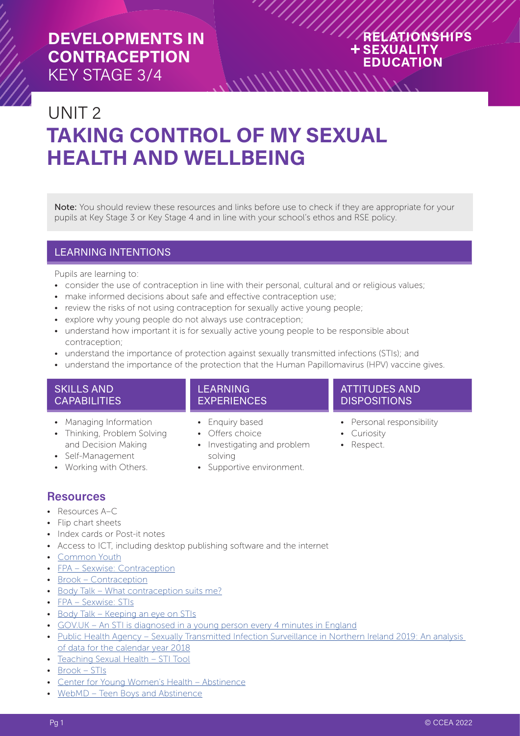#### RELATIONSHIPS **+SEXUALITY EDUCATION** ://///////////////////

# UNIT 2 **TAKING CONTROL OF MY SEXUAL HEALTH AND WELLBEING**

Note: You should review these resources and links before use to check if they are appropriate for your pupils at Key Stage 3 or Key Stage 4 and in line with your school's ethos and RSE policy.

#### LEARNING INTENTIONS

Pupils are learning to:

- consider the use of contraception in line with their personal, cultural and or religious values;
- make informed decisions about safe and effective contraception use:
- review the risks of not using contraception for sexually active young people;
- explore why young people do not always use contraception;
- understand how important it is for sexually active young people to be responsible about contraception;
- understand the importance of protection against sexually transmitted infections (STIs); and
- understand the importance of the protection that the Human Papillomavirus (HPV) vaccine gives.

#### SKILLS AND **CAPABILITIES**

- Managing Information
- Thinking, Problem Solving and Decision Making
- Self-Management
- Working with Others.

#### LEARNING EXPERIENCES

- Enquiry based
- Offers choice
- Investigating and problem solving
- Supportive environment.

#### ATTITUDES AND DISPOSITIONS

- Personal responsibility
- Curiosity
- Respect.

#### **Resources**

- Resources A–C
- Flip chart sheets
- Index cards or Post-it notes
- Access to ICT, including desktop publishing software and the internet
- [Common Youth](http://www.commonyouth.com/)
- [FPA Sexwise: Contraception](https://www.sexwise.org.uk/contraception)
- **[Brook Contraception](https://www.brook.org.uk/your-life/category/contraception)**
- [Body Talk What contraception suits me?](https://bodytalk.org.au/what-contraception-suits-me/)
- [FPA Sexwise: STIs](https://www.sexwise.org.uk/stis)
- [Body Talk Keeping an eye on STIs](https://bodytalk.org.au/keeping-an-eye-on-stis/)
- [GOV.UK An STI is diagnosed in a young person every 4 minutes in England](https://www.gov.uk/government/news/an-sti-is-diagnosed-in-a-young-person-every-4-minutes-in-england)
- [Public Health Agency Sexually Transmitted Infection Surveillance in Northern Ireland 2019: An analysis](https://www.publichealth.hscni.net/publications/sexually-transmitted-infection-surveillance-northern-ireland-2019-analysis-data)  [of data for the calendar year 2018](https://www.publichealth.hscni.net/publications/sexually-transmitted-infection-surveillance-northern-ireland-2019-analysis-data)
- [Teaching Sexual Health STI Tool](https://teachingsexualhealth.ca/teachers/resource/stis/)
- [Brook STIs](https://www.brook.org.uk/topics/stis/)
- [Center for Young Women's Health Abstinence](https://youngwomenshealth.org/2013/02/22/abstinence/)
- WebMD Teen Boys and Abstinence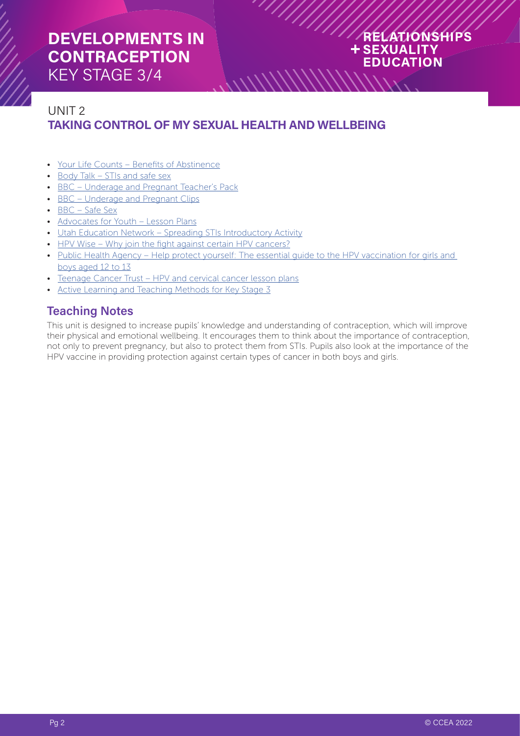#### RELATIONSHIPS **+SEXUALITY EDUCATION**

#### UNIT 2 **TAKING CONTROL OF MY SEXUAL HEALTH AND WELLBEING**

- [Your Life Counts Benefits of Abstinence](https://yourlifecounts.org/learning-center/sex/benefits-of-abstinence/)
- [Body Talk STIs and safe sex](https://bodytalk.org.au/quizzes/stis-and-safer-sex-i-love-condoms/)
- [BBC Underage and Pregnant Teacher's Pack](http://downloads.bbc.co.uk/schools/teachers/underageandpregnant/teachers_pack.pdf)
- [BBC Underage and Pregnant Clips](https://www.bbc.co.uk/programmes/b00lvtdc/clips)
- [BBC Safe Sex](https://www.bbc.co.uk/iplayer/episode/p0746ttw/mimi-on-a-mission-sex-ed-series-1-2-safe-sex)
- [Advocates for Youth Lesson Plans](https://www.advocatesforyouth.org/wp-content/uploads/storage/advfy/lesson-plans/lesson-plan-stis-part-i-and-ii.pdf)
- [Utah Education Network Spreading STIs Introductory Activity](https://www.uen.org/cte/facs_cabinet/downloads/AdultRoles/S3O3SpreadingSTDs.doc)
- [HPV Wise Why join the fight against certain HPV cancers?](https://www.hpvwise.co.uk/whyjointhefight.xhtml)
- Public Health Agency Help protect yourself: The essential quide to the HPV vaccination for girls and [boys aged 12 to 13](https://www.publichealth.hscni.net/publications/beating-cervical-cancer-information-girls-year-9-and-10-aged-12-13-english-and-translat)

 $\frac{1}{2}$ 

- [Teenage Cancer Trust HPV and cervical cancer lesson plans](https://www.teenagecancertrust.org/about-us/what-we-do/education-awareness-resources/hpv-and-cervical-cancer-lesson-plans)
- [Active Learning and Teaching Methods for Key Stage 3](https://ccea.org.uk/document/1111)

#### **Teaching Notes**

This unit is designed to increase pupils' knowledge and understanding of contraception, which will improve their physical and emotional wellbeing. It encourages them to think about the importance of contraception, not only to prevent pregnancy, but also to protect them from STIs. Pupils also look at the importance of the HPV vaccine in providing protection against certain types of cancer in both boys and girls.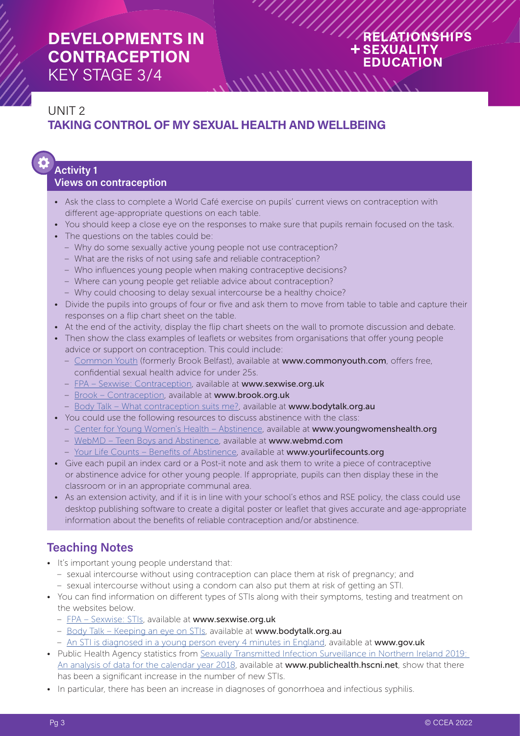#### RELATIONSHIPS **+SEXUALITY EDUCATION**

#### UNIT 2 **TAKING CONTROL OF MY SEXUAL HEALTH AND WELLBEING**

# **Activity 1**

#### **Views on contraception**

- Ask the class to complete a World Café exercise on pupils' current views on contraception with different age-appropriate questions on each table.
- You should keep a close eye on the responses to make sure that pupils remain focused on the task.

 $\left[\frac{1}{10}\right]$ 

- The questions on the tables could be:
	- Why do some sexually active young people not use contraception?
	- What are the risks of not using safe and reliable contraception?
	- Who influences young people when making contraceptive decisions?
	- Where can young people get reliable advice about contraception?
	- Why could choosing to delay sexual intercourse be a healthy choice?
- Divide the pupils into groups of four or five and ask them to move from table to table and capture their responses on a flip chart sheet on the table.
- At the end of the activity, display the flip chart sheets on the wall to promote discussion and debate.
- Then show the class examples of leaflets or websites from organisations that offer young people advice or support on contraception. This could include:
	- [Common Youth](http://www.commonyouth.com/) (formerly Brook Belfast), available at www.commonyouth.com, offers free, confidential sexual health advice for under 25s.
	- [FPA Sexwise: Contraception](https://www.sexwise.org.uk/contraception), available at www.sexwise.org.uk
	- [Brook Contraception](https://www.brook.org.uk/your-life/category/contraception), available at www.brook.org.uk
	- [Body Talk What contraception suits me?](https://bodytalk.org.au/what-contraception-suits-me/), available at www.bodytalk.org.au
- You could use the following resources to discuss abstinence with the class:
	- [Center for Young Women's Health Abstinence](https://youngwomenshealth.org/2013/02/22/abstinence/), available at www.youngwomenshealth.org
	- [WebMD Teen Boys and Abstinence,](https://teens.webmd.com/boys/teen-boys-abstinence#1) available at www.webmd.com
	- [Your Life Counts Benefits of Abstinence,](https://yourlifecounts.org/learning-center/sex/benefits-of-abstinence/) available at www.yourlifecounts.org
- Give each pupil an index card or a Post-it note and ask them to write a piece of contraceptive or abstinence advice for other young people. If appropriate, pupils can then display these in the classroom or in an appropriate communal area.
- As an extension activity, and if it is in line with your school's ethos and RSE policy, the class could use desktop publishing software to create a digital poster or leaflet that gives accurate and age-appropriate information about the benefits of reliable contraception and/or abstinence.

#### **Teaching Notes**

- It's important young people understand that:
- sexual intercourse without using contraception can place them at risk of pregnancy; and – sexual intercourse without using a condom can also put them at risk of getting an STI.
- You can find information on different types of STIs along with their symptoms, testing and treatment on the websites below.
	- [FPA Sexwise: STIs,](https://www.sexwise.org.uk/stis) available at www.sexwise.org.uk
	- [Body Talk Keeping an eye on STIs](https://bodytalk.org.au/keeping-an-eye-on-stis/), available at www.bodytalk.org.au
	- [An STI is diagnosed in a young person every 4 minutes in England,](https://www.gov.uk/government/news/an-sti-is-diagnosed-in-a-young-person-every-4-minutes-in-england) available at www.gov.uk
- Public Health Agency statistics from [Sexually Transmitted Infection Surveillance in Northern Ireland 2019:](https://www.publichealth.hscni.net/publications/sexually-transmitted-infection-surveillance-northern-ireland-2019-analysis-data)  [An analysis of data for the calendar year 2018](https://www.publichealth.hscni.net/publications/sexually-transmitted-infection-surveillance-northern-ireland-2019-analysis-data), available at www.publichealth.hscni.net, show that there has been a significant increase in the number of new STIs.
- In particular, there has been an increase in diagnoses of gonorrhoea and infectious syphilis.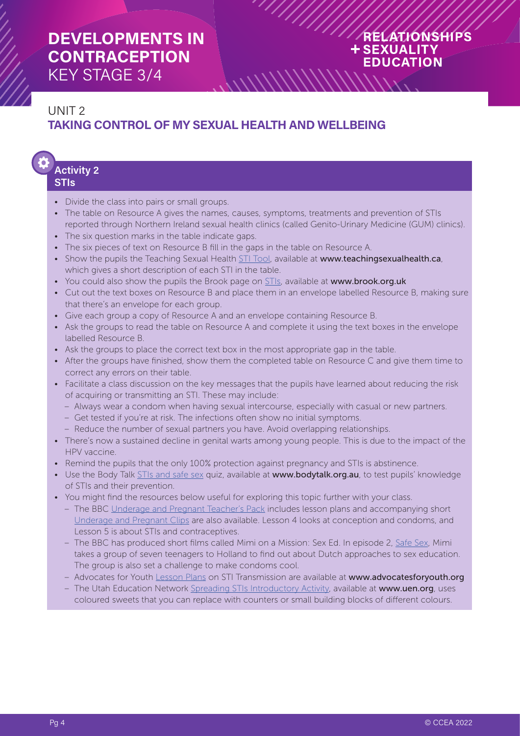#### RELATIONSHIPS **+SEXUALITY EDUCATION**

#### UNIT 2 **TAKING CONTROL OF MY SEXUAL HEALTH AND WELLBEING**

#### **Activity 2 STIs**

- Divide the class into pairs or small groups.
- The table on Resource A gives the names, causes, symptoms, treatments and prevention of STIs reported through Northern Ireland sexual health clinics (called Genito-Urinary Medicine (GUM) clinics).

 $\frac{1}{2}$ 

- The six question marks in the table indicate gaps.
- The six pieces of text on Resource B fill in the gaps in the table on Resource A.
- Show the pupils the Teaching Sexual Health [STI Tool](https://teachingsexualhealth.ca/teachers/resource/stis/), available at www.teachingsexualhealth.ca, which gives a short description of each STI in the table.
- You could also show the pupils the Brook page on **STIs**, available at www.brook.org.uk
- Cut out the text boxes on Resource B and place them in an envelope labelled Resource B, making sure that there's an envelope for each group.
- Give each group a copy of Resource A and an envelope containing Resource B.
- Ask the groups to read the table on Resource A and complete it using the text boxes in the envelope labelled Resource B.
- Ask the groups to place the correct text box in the most appropriate gap in the table.
- After the groups have finished, show them the completed table on Resource C and give them time to correct any errors on their table.
- Facilitate a class discussion on the key messages that the pupils have learned about reducing the risk of acquiring or transmitting an STI. These may include:
	- Always wear a condom when having sexual intercourse, especially with casual or new partners.
	- Get tested if you're at risk. The infections often show no initial symptoms.
	- Reduce the number of sexual partners you have. Avoid overlapping relationships.
- There's now a sustained decline in genital warts among young people. This is due to the impact of the HPV vaccine.
- Remind the pupils that the only 100% protection against pregnancy and STIs is abstinence.
- Use the Body Talk [STIs and safe sex](https://bodytalk.org.au/quizzes/stis-and-safer-sex-i-love-condoms/) quiz, available at www.bodytalk.org.au, to test pupils' knowledge of STIs and their prevention.
- You might find the resources below useful for exploring this topic further with your class.
	- The BBC [Underage and Pregnant Teacher's Pack](http://downloads.bbc.co.uk/schools/teachers/underageandpregnant/teachers_pack.pdf) includes lesson plans and accompanying short [Underage and Pregnant Clips](https://www.bbc.co.uk/programmes/b00lvtdc/clips) are also available. Lesson 4 looks at conception and condoms, and Lesson 5 is about STIs and contraceptives.
	- The BBC has produced short films called Mimi on a Mission: Sex Ed. In episode 2, [Safe Sex](https://www.bbc.co.uk/iplayer/episode/p0746ttw/mimi-on-a-mission-sex-ed-series-1-2-safe-sex), Mimi takes a group of seven teenagers to Holland to find out about Dutch approaches to sex education. The group is also set a challenge to make condoms cool.
	- Advocates for Youth [Lesson Plans](https://www.advocatesforyouth.org/wp-content/uploads/storage/advfy/lesson-plans/lesson-plan-stis-part-i-and-ii.pdf) on STI Transmission are available at www.advocatesforyouth.org
	- The Utah Education Network [Spreading STIs Introductory Activity,](https://www.uen.org/cte/facs_cabinet/downloads/AdultRoles/S3O3SpreadingSTDs.doc) available at www.uen.org, uses coloured sweets that you can replace with counters or small building blocks of different colours.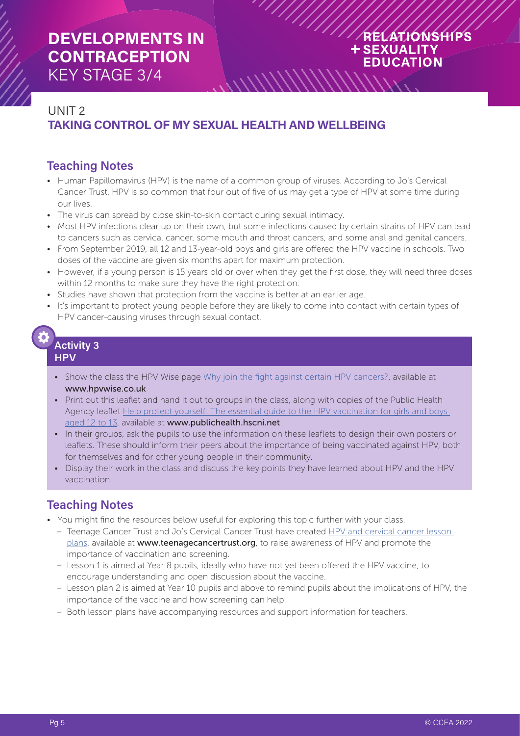#### RELATIONSHIPS **+SEXUALITY EDUCATION**

#### UNIT 2 **TAKING CONTROL OF MY SEXUAL HEALTH AND WELLBEING**

#### **Teaching Notes**

• Human Papillomavirus (HPV) is the name of a common group of viruses. According to Jo's Cervical Cancer Trust, HPV is so common that four out of five of us may get a type of HPV at some time during our lives.

 $\frac{1}{\sqrt{2}}$ 

- The virus can spread by close skin-to-skin contact during sexual intimacy.
- Most HPV infections clear up on their own, but some infections caused by certain strains of HPV can lead to cancers such as cervical cancer, some mouth and throat cancers, and some anal and genital cancers.
- From September 2019, all 12 and 13-year-old boys and girls are offered the HPV vaccine in schools. Two doses of the vaccine are given six months apart for maximum protection.
- However, if a young person is 15 years old or over when they get the first dose, they will need three doses within 12 months to make sure they have the right protection.
- Studies have shown that protection from the vaccine is better at an earlier age.
- It's important to protect young people before they are likely to come into contact with certain types of HPV cancer-causing viruses through sexual contact.

#### **Activity 3 HPV**

- Show the class the HPV Wise page [Why join the fight against certain HPV cancers?,](https://www.hpvwise.co.uk/whyjointhefight.xhtml) available at www.hpvwise.co.uk
- Print out this leaflet and hand it out to groups in the class, along with copies of the Public Health Agency leaflet Help protect yourself: The essential guide to the HPV vaccination for girls and boys [aged 12 to 13](https://www.publichealth.hscni.net/publications/beating-cervical-cancer-information-girls-year-9-and-10-aged-12-13-english-and-translat), available at www.publichealth.hscni.net
- In their groups, ask the pupils to use the information on these leaflets to design their own posters or leaflets. These should inform their peers about the importance of being vaccinated against HPV, both for themselves and for other young people in their community.
- Display their work in the class and discuss the key points they have learned about HPV and the HPV vaccination.

#### **Teaching Notes**

- You might find the resources below useful for exploring this topic further with your class.
	- Teenage Cancer Trust and Jo's Cervical Cancer Trust have created [HPV and cervical cancer lesson](https://www.teenagecancertrust.org/about-us/what-we-do/education-awareness-resources/hpv-and-cervical-cancer-lesson-plans)  [plans,](https://www.teenagecancertrust.org/about-us/what-we-do/education-awareness-resources/hpv-and-cervical-cancer-lesson-plans) available at www.teenagecancertrust.org, to raise awareness of HPV and promote the importance of vaccination and screening.
	- Lesson 1 is aimed at Year 8 pupils, ideally who have not yet been offered the HPV vaccine, to encourage understanding and open discussion about the vaccine.
	- Lesson plan 2 is aimed at Year 10 pupils and above to remind pupils about the implications of HPV, the importance of the vaccine and how screening can help.
	- Both lesson plans have accompanying resources and support information for teachers.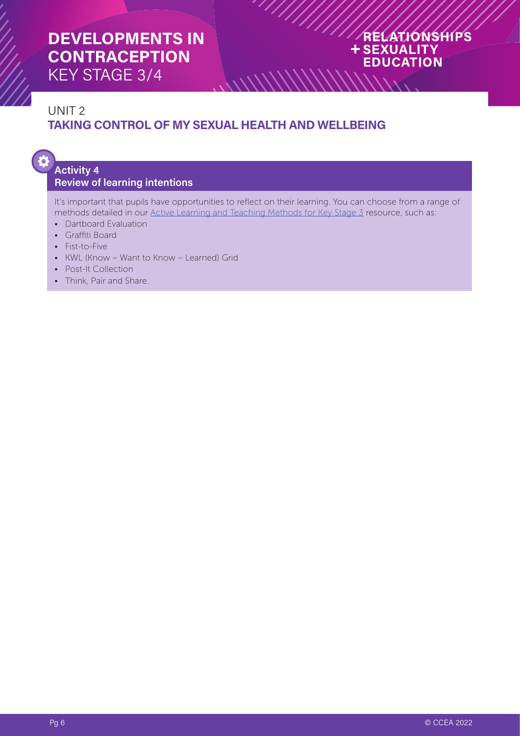#### RELATIONSHIPS **+SEXUALITY EDUCATION**

#### UNIT 2 **TAKING CONTROL OF MY SEXUAL HEALTH AND WELLBEING**

# ð

#### **Activity 4 Review of learning intentions**

It's important that pupils have opportunities to reflect on their learning. You can choose from a range of methods detailed in our [Active Learning and Teaching Methods for Key Stage 3](https://ccea.org.uk/document/1111) resource, such as:

 $\frac{1}{2}$ 

- Dartboard Evaluation
- Graffiti Board
- Fist-to-Five
- KWL (Know Want to Know Learned) Grid
- Post-It Collection
- Think, Pair and Share.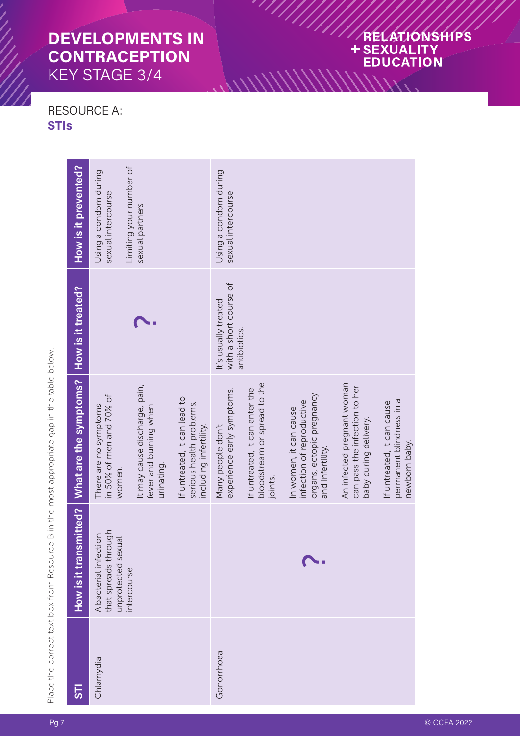#### RELATIONSHIPS + SEXUALITY **EDUCATION**

#### RESOURCE A: **STI s**

 $\frac{1}{\sqrt{2}}$ 

Place the correct text box from Resource B in the most appropriate gap in the table below. Place the correct text box from Resource B in the most appropriate gap in the table below.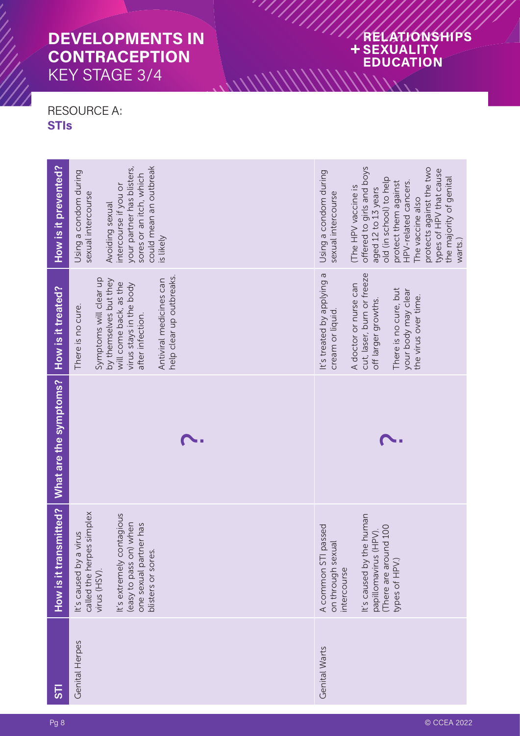### RELATIONSHIPS + SEXUALITY **EDUCATION** WWWWW.

#### RESOURCE A: **STI s**

| How is it prevented?   | could mean an outbreak<br>your partner has blisters,<br>Using a condom during<br>sores or an itch, which<br>intercourse if you or<br>sexual intercourse<br>Avoiding sexual<br>is likely               | offered to girls and boys<br>protects against the two<br>types of HPV that cause<br>Using a condom during<br>the majority of genital<br>old (in school) to help<br>HPV-related cancers.<br>protect them against<br>(The HPV vaccine is<br>aged 12 to 13 years<br>sexual intercourse<br>The vaccine also<br>warts.) |
|------------------------|-------------------------------------------------------------------------------------------------------------------------------------------------------------------------------------------------------|--------------------------------------------------------------------------------------------------------------------------------------------------------------------------------------------------------------------------------------------------------------------------------------------------------------------|
| How is it treated?     | help clear up outbreaks.<br>Symptoms will clear up<br>Antiviral medicines can<br>by themselves but they<br>will come back, as the<br>virus stays in the body<br>There is no cure.<br>after infection. | cut, laser, burn or freeze<br>It's treated by applying a<br>A doctor or nurse can<br>There is no cure, but<br>your body may clear<br>the virus over time.<br>off larger growths.<br>cream or liquid.                                                                                                               |
| What are the symptoms? |                                                                                                                                                                                                       |                                                                                                                                                                                                                                                                                                                    |
|                        |                                                                                                                                                                                                       |                                                                                                                                                                                                                                                                                                                    |
| How is it transmitted? | called the herpes simplex<br>It's extremely contagious<br>(easy to pass on) when<br>er has<br>virus<br>one sexual partn<br>blisters or sores.<br>It's caused by a<br>virus (HSV).                     | It's caused by the human<br>papillomavirus (HPV).<br>A common STI passed<br>There are around 100<br>$\overline{\sigma}$<br>on through sexu<br>types of HPV.)<br>intercourse                                                                                                                                        |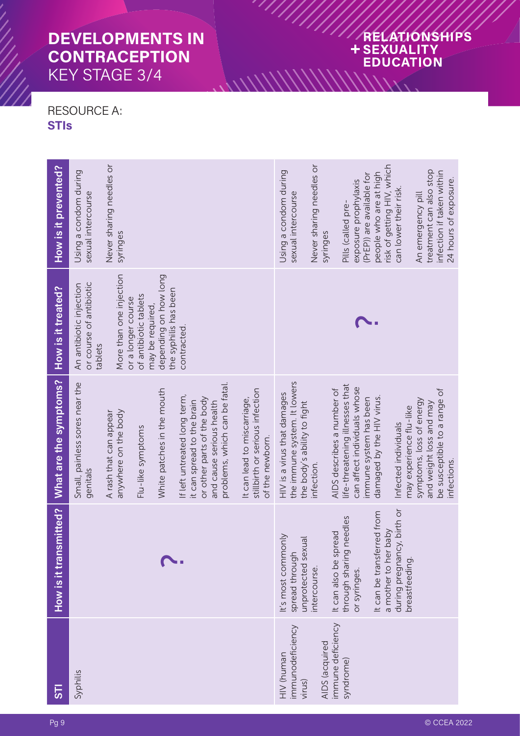### RELATIONSHIPS + SEXUALITY **EDUCATION** MININININA

#### RESOURCE A: **STI s**

| <u>ნ</u>                                 | How is it transmitted?                                       | What are the symptoms?                                                                                                                                | How is it treated?                                                                          | How is it prevented?                                                                               |
|------------------------------------------|--------------------------------------------------------------|-------------------------------------------------------------------------------------------------------------------------------------------------------|---------------------------------------------------------------------------------------------|----------------------------------------------------------------------------------------------------|
| Syphilis                                 |                                                              | Small, painless sores near the<br>genitals                                                                                                            | or course of antibiotic<br>An antibiotic injection<br>tablets                               | Using a condom during<br>sexual intercourse                                                        |
|                                          |                                                              | anywhere on the body<br>A rash that can appear                                                                                                        | More than one injection<br>or a longer course                                               | Never sharing needles or<br>syringes                                                               |
|                                          |                                                              | White patches in the mouth<br>Flu-like symptoms                                                                                                       | depending on how long<br>the syphilis has been<br>of antibiotic tablets<br>may be required, |                                                                                                    |
|                                          |                                                              | problems, which can be fatal.<br>If left untreated long term,<br>or other parts of the body<br>it can spread to the brain<br>and cause serious health | contracted.                                                                                 |                                                                                                    |
|                                          |                                                              | stillbirth or serious infection<br>It can lead to miscarriage,<br>of the newborn.                                                                     |                                                                                             |                                                                                                    |
| immunodeficiency<br>HIV (human<br>virus) | It's most commonly<br>Jal<br>spread through                  | the immune system. It lowers<br>HIV is a virus that damages<br>the body's ability to fight                                                            |                                                                                             | Using a condom during<br>sexual intercourse                                                        |
| AIDS (acquired                           | unprotected sex<br>intercourse.                              | infection.                                                                                                                                            |                                                                                             | Never sharing needles or<br>syringes                                                               |
| immune deficiency<br>syndrome)           | needles<br>It can also be spread<br>through sharing          | life-threatening illnesses that<br>AIDS describes a number of                                                                                         |                                                                                             | Pills (called pre-                                                                                 |
|                                          | or syringes.                                                 | can affect individuals whose<br>immune system has been                                                                                                |                                                                                             | (PrEP)) are available for<br>exposure prophylaxis                                                  |
|                                          | It can be transferred from<br><b>Aqeq</b><br>a mother to her | damaged by the HIV virus.                                                                                                                             |                                                                                             | risk of getting HIV, which<br>people who are at high                                               |
|                                          | during pregnancy, birth or<br>breastfeeding.                 | may experience flu-like<br>Infected individuals                                                                                                       |                                                                                             | can lower their risk.                                                                              |
|                                          |                                                              | be susceptible to a range of<br>symptoms, loss of energy<br>and weight loss and may<br>nfections.                                                     |                                                                                             | treatment can also stop<br>infection if taken within<br>24 hours of exposure.<br>An emergency pill |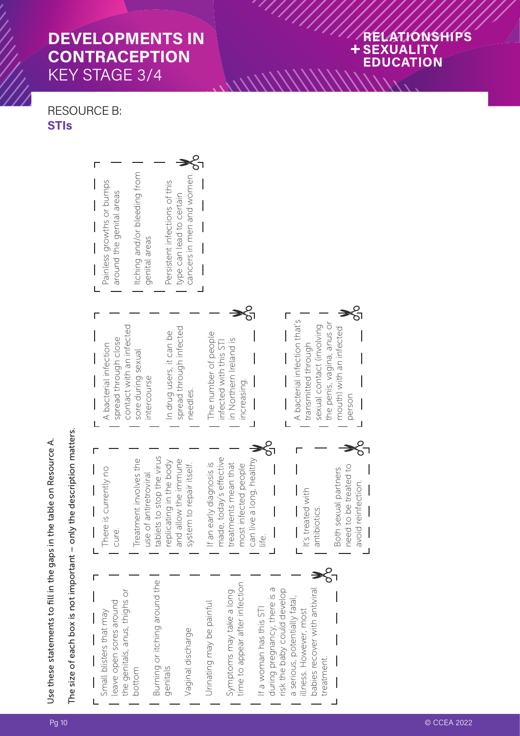#### **ONSHIPS**  $\overline{\mathcal{S}}$ Ÿ **EDUCATION**

#### RESOURCE B: **STIs**



 $\frac{1}{2}$ 

Use these statements to fill in the gaps in the table on Resource A.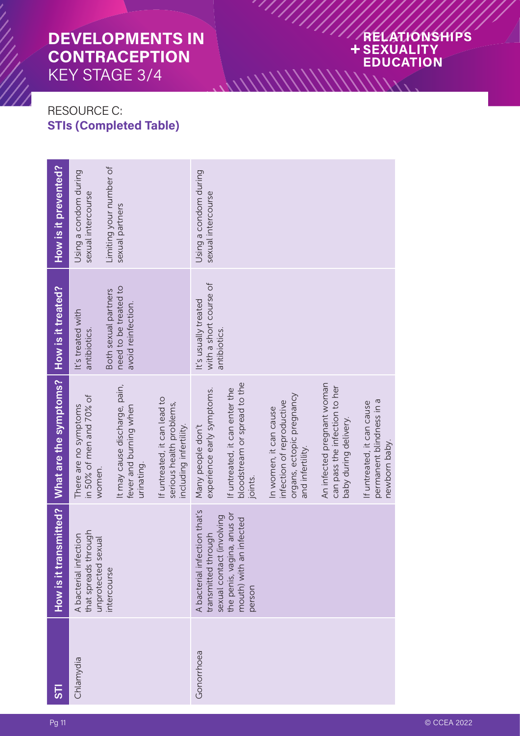### RELATIONSHIPS + SEXUALITY **EDUCATION** WWWWW.

#### RESOURCE C: **STIs (Completed Table)**

| 55         |                                                                                      | How is it transmitted? What are the symptoms?   How is it treated?                                   |                                                                     | How is it prevented?                        |
|------------|--------------------------------------------------------------------------------------|------------------------------------------------------------------------------------------------------|---------------------------------------------------------------------|---------------------------------------------|
| Chlamydia  | that spreads through<br>A bacterial infection<br>unprotected sexual                  | in 50% of men and 70% of<br>There are no symptoms<br>women.                                          | It's treated with<br>antibiotics.                                   | Using a condom during<br>sexual intercourse |
|            | intercourse                                                                          | It may cause discharge, pain,<br>fever and burning when<br>urinating.                                | need to be treated to<br>Both sexual partners<br>avoid reinfection. | Limiting your number of<br>sexual partners  |
|            |                                                                                      | If untreated, it can lead to<br>serious health problems,<br>including infertility.                   |                                                                     |                                             |
| Gonorrhoea | A bacterial infection that's<br>involving<br>transmitted through<br>sexual contact ( | experience early symptoms.<br>Many people don't                                                      | with a short course of<br>It's usually treated<br>antibiotics.      | Using a condom during<br>sexual intercourse |
|            | the penis, vagina, anus or<br>infected<br>mouth) with an<br>person                   | bloodstream or spread to the<br>If untreated, it can enter the<br>joints.                            |                                                                     |                                             |
|            |                                                                                      | organs, ectopic pregnancy<br>infection of reproductive<br>In women, it can cause<br>and infertility. |                                                                     |                                             |
|            |                                                                                      | An infected pregnant woman<br>can pass the infection to her<br>baby during delivery.                 |                                                                     |                                             |
|            |                                                                                      | permanent blindness in a<br>If untreated, it can cause<br>newborn baby.                              |                                                                     |                                             |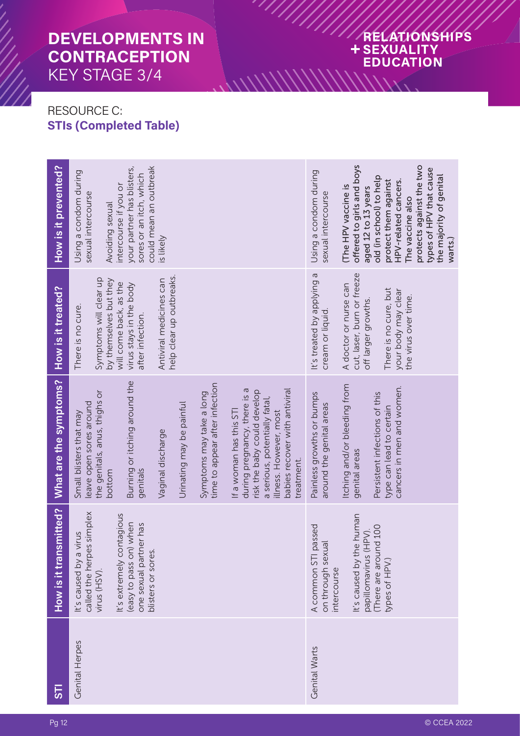#### RELATIONSHIPS + SEXUALITY **EDUCATION** MININININA

#### RESOURCE C: **STIs (Completed Table)**

| 55             | How is it transmitted?                                                                              | What are the symptoms?                                                                                                                                                                           | How is it treated?                                                         | How is it prevented?                                                                                                                                                                     |
|----------------|-----------------------------------------------------------------------------------------------------|--------------------------------------------------------------------------------------------------------------------------------------------------------------------------------------------------|----------------------------------------------------------------------------|------------------------------------------------------------------------------------------------------------------------------------------------------------------------------------------|
| Genital Herpes | called the herpes simplex<br>virus<br>It's caused by a<br>$virus$ ( $HSV$ ).                        | the genitals, anus, thighs or<br>leave open sores around<br>Small blisters that may<br>bottom                                                                                                    | Symptoms will clear up<br>by themselves but they<br>There is no cure.      | Using a condom during<br>sexual intercourse<br>Avoiding sexual                                                                                                                           |
|                | It's extremely contagious<br>(easy to pass on) when<br>one sexual partner has<br>blisters or sores. | Burning or itching around the<br>genitals                                                                                                                                                        | will come back, as the<br>virus stays in the body<br>after infection.      | could mean an outbreak<br>your partner has blisters,<br>sores or an itch, which<br>intercourse if you or                                                                                 |
|                |                                                                                                     | Vaginal discharge                                                                                                                                                                                | help clear up outbreaks.<br>Antiviral medicines can                        | is likely                                                                                                                                                                                |
|                |                                                                                                     | Urinating may be painful                                                                                                                                                                         |                                                                            |                                                                                                                                                                                          |
|                |                                                                                                     | time to appear after infection<br>Symptoms may take a long                                                                                                                                       |                                                                            |                                                                                                                                                                                          |
|                |                                                                                                     | babies recover with antiviral<br>during pregnancy, there is a<br>risk the baby could develop<br>a serious, potentially fatal,<br>If a woman has this STI<br>illness. However, most<br>treatment. |                                                                            |                                                                                                                                                                                          |
| Genital Warts  | A common STI passed<br>$\overline{a}$<br>on through sexu<br>intercourse                             | Painless growths or bumps<br>around the genital areas                                                                                                                                            | It's treated by applying a<br>cream or liquid.                             | Using a condom during<br>sexual intercourse                                                                                                                                              |
|                | It's caused by the human<br>papillomavirus (HPV).                                                   | Itching and/or bleeding from<br>genital areas                                                                                                                                                    | cut, laser, burn or freeze<br>A doctor or nurse can<br>off larger growths. | offered to girls and boys<br>The HPV vaccine is<br>aged 12 to 13 years                                                                                                                   |
|                | There are around 100<br>types of HPV.)                                                              | cancers in men and women.<br>Persistent infections of this<br>type can lead to certain                                                                                                           | There is no cure, but<br>your body may clear<br>the virus over time.       | protects against the two<br>types of HPV that cause<br>the majority of genital<br>old (in school) to help<br>protect them against<br>HPV-related cancers.<br>The vaccine also<br>warts.) |